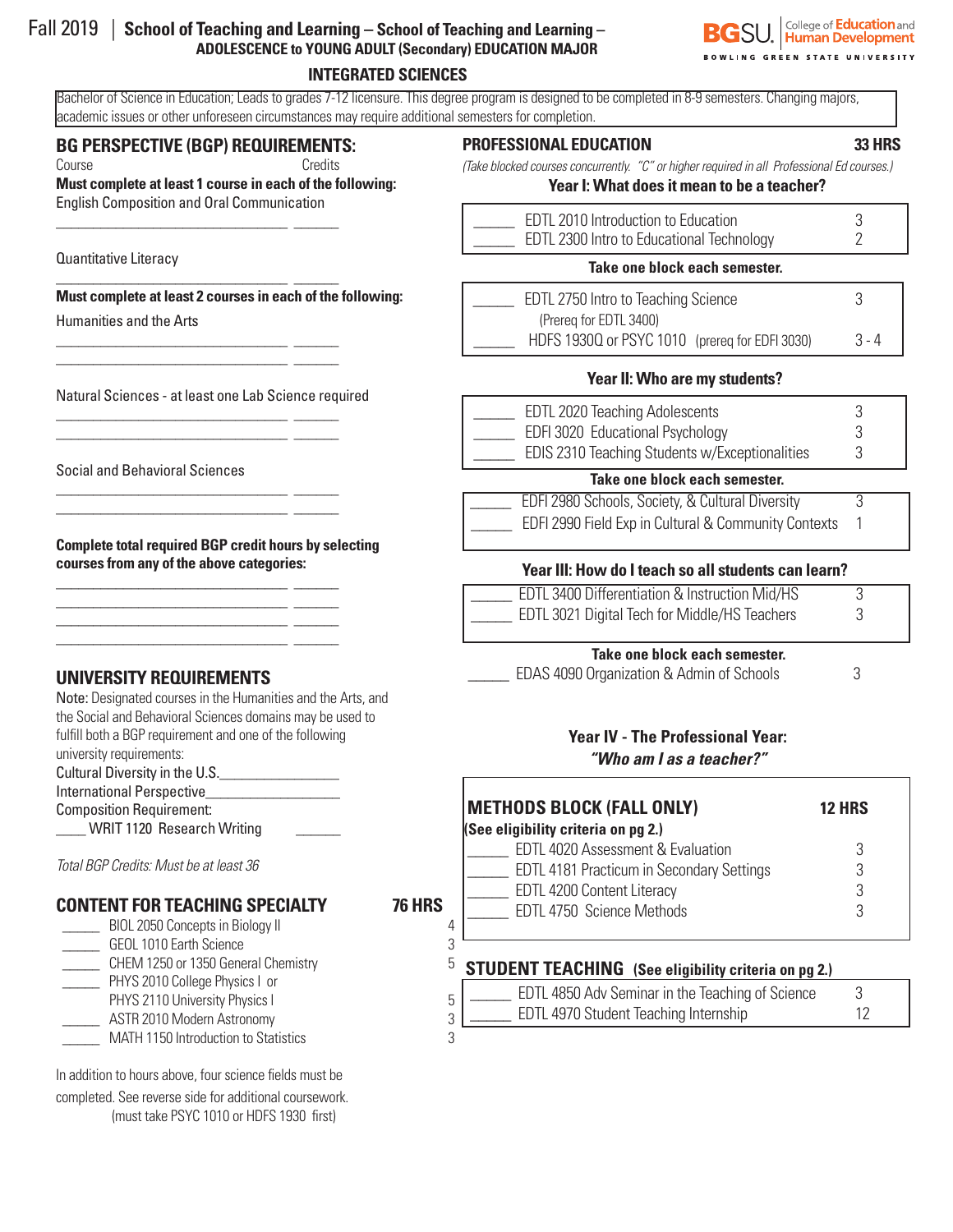| Fall $2019$ School of Teaching and Learning – School of Teaching and Learning – |
|---------------------------------------------------------------------------------|
| <b>ADOLESCENCE to YOUNG ADULT (Secondary) EDUCATION MAJOR</b>                   |

#### **INTEGRATED SCIENCES**

Bachelor of Science in Education; Leads to grades 7-12 licensure. This degree program is designed to be completed in 8-9 semesters. Changing majors, academic issues or other unforeseen circumstances may require additional semesters for completion.

## **BG PERSPECTIVE (BGP) REQUIREMENTS:**

\_\_\_\_\_\_\_\_\_\_\_\_\_\_\_\_\_\_\_\_\_\_\_\_\_\_\_\_\_\_\_ \_\_\_\_\_\_

\_\_\_\_\_\_\_\_\_\_\_\_\_\_\_\_\_\_\_\_\_\_\_\_\_\_\_\_\_\_\_ \_\_\_\_\_\_

\_\_\_\_\_\_\_\_\_\_\_\_\_\_\_\_\_\_\_\_\_\_\_\_\_\_\_\_\_\_\_ \_\_\_\_\_\_ \_\_\_\_\_\_\_\_\_\_\_\_\_\_\_\_\_\_\_\_\_\_\_\_\_\_\_\_\_\_\_ \_\_\_\_\_\_

\_\_\_\_\_\_\_\_\_\_\_\_\_\_\_\_\_\_\_\_\_\_\_\_\_\_\_\_\_\_\_ \_\_\_\_\_\_ \_\_\_\_\_\_\_\_\_\_\_\_\_\_\_\_\_\_\_\_\_\_\_\_\_\_\_\_\_\_\_ \_\_\_\_\_\_

\_\_\_\_\_\_\_\_\_\_\_\_\_\_\_\_\_\_\_\_\_\_\_\_\_\_\_\_\_\_\_ \_\_\_\_\_\_ \_\_\_\_\_\_\_\_\_\_\_\_\_\_\_\_\_\_\_\_\_\_\_\_\_\_\_\_\_\_\_ \_\_\_\_\_\_

\_\_\_\_\_\_\_\_\_\_\_\_\_\_\_\_\_\_\_\_\_\_\_\_\_\_\_\_\_\_\_ \_\_\_\_\_\_ \_\_\_\_\_\_\_\_\_\_\_\_\_\_\_\_\_\_\_\_\_\_\_\_\_\_\_\_\_\_\_ \_\_\_\_\_\_ \_\_\_\_\_\_\_\_\_\_\_\_\_\_\_\_\_\_\_\_\_\_\_\_\_\_\_\_\_\_\_ \_\_\_\_\_\_ \_\_\_\_\_\_\_\_\_\_\_\_\_\_\_\_\_\_\_\_\_\_\_\_\_\_\_\_\_\_\_ \_\_\_\_\_\_

Course Credits **Must complete at least 1 course in each of the following:**  English Composition and Oral Communication

#### Quantitative Literacy

#### **Must complete at least 2 courses in each of the following:**

Humanities and the Arts

Natural Sciences - at least one Lab Science required

Social and Behavioral Sciences

**Complete total required BGP credit hours by selecting courses from any of the above categories:**

# **UNIVERSITY REQUIREMENTS**

| Note: Designated courses in the Humanities and the Arts, and |
|--------------------------------------------------------------|
| the Social and Behavioral Sciences domains may be used to    |
| fulfill both a BGP requirement and one of the following      |
| university requirements:                                     |
| Cultural Diversity in the U.S.                               |
| <b>International Perspective</b>                             |
| <b>Composition Requirement:</b>                              |
| <b>WRIT 1120 Research Writing</b>                            |
|                                                              |
| Total BGP Credits: Must be at least 36                       |
|                                                              |

# **CONTENT FOR TEACHING SPECIALTY 76 HRS**

- BIOL 2050 Concepts in Biology II 4 \_\_\_\_\_ GEOL 1010 Earth Science 3
- \_\_\_\_\_ CHEM 1250 or 1350 General Chemistry 5
- \_\_\_\_\_ PHYS 2010 College Physics I or
- PHYS 2110 University Physics I 5
- \_\_\_\_\_ ASTR 2010 Modern Astronomy 3
- MATH 1150 Introduction to Statistics 3

In addition to hours above, four science fields must be completed. See reverse side for additional coursework. (must take PSYC 1010 or HDFS 1930 first)

#### **PROFESSIONAL EDUCATION 33 HRS**

*(Take blocked courses concurrently. "C" or higher required in all Professional Ed courses.)*

#### **Year I: What does it mean to be a teacher?**

| EDTL 2010 Introduction to Education<br>EDTL 2300 Intro to Educational Technology |  |
|----------------------------------------------------------------------------------|--|
|                                                                                  |  |

#### **Take one block each semester.**

| EDTL 2750 Intro to Teaching Science            |         |
|------------------------------------------------|---------|
| (Prereg for EDTL 3400)                         |         |
| HDFS 1930Q or PSYC 1010 (prereq for EDFI 3030) | $3 - 4$ |

#### **Year II: Who are my students?**

| <b>EDTL 2020 Teaching Adolescents</b>          |  |
|------------------------------------------------|--|
| EDFI 3020 Educational Psychology               |  |
| EDIS 2310 Teaching Students w/Exceptionalities |  |
|                                                |  |

#### **Take one block each semester.**

| EDFI 2980 Schools, Society, & Cultural Diversity     |  |
|------------------------------------------------------|--|
| EDFI 2990 Field Exp in Cultural & Community Contexts |  |

# **Year III: How do I teach so all students can learn?**

| EDTL 3400 Differentiation & Instruction Mid/HS |  |
|------------------------------------------------|--|
| EDTL 3021 Digital Tech for Middle/HS Teachers  |  |

#### **Take one block each semester.**

| EDAS 4090 Organization & Admin of Schools |  |
|-------------------------------------------|--|
|-------------------------------------------|--|

# **Year IV - The Professional Year:** *"Who am I as a teacher?"*

| <b>METHODS BLOCK (FALL ONLY)</b>          | <b>12 HRS</b> |
|-------------------------------------------|---------------|
| (See eligibility criteria on pg 2.)       |               |
| EDTL 4020 Assessment & Evaluation         |               |
| EDTL 4181 Practicum in Secondary Settings |               |
| EDTL 4200 Content Literacy                |               |
| EDTL 4750 Science Methods                 |               |
|                                           |               |

# **STUDENT TEACHING (See eligibility criteria on pg 2.)**

| EDTL 4850 Adv Seminar in the Teaching of Science |  |
|--------------------------------------------------|--|
| <b>EDTL 4970 Student Teaching Internship</b>     |  |